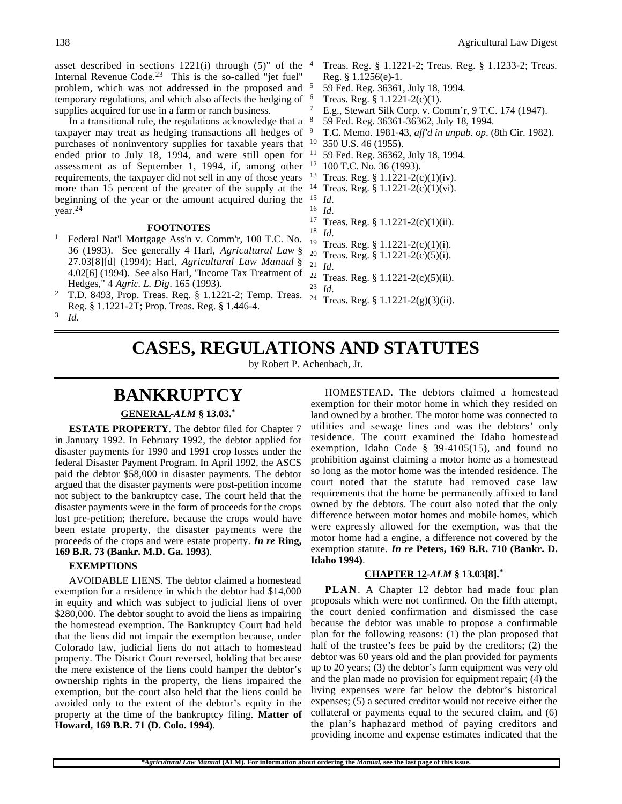asset described in sections  $1221(i)$  through  $(5)$ " of the  $4$ Internal Revenue Code.23 This is the so-called "jet fuel" problem, which was not addressed in the proposed and temporary regulations, and which also affects the hedging of <sup>6</sup> supplies acquired for use in a farm or ranch business.

In a transitional rule, the regulations acknowledge that a taxpayer may treat as hedging transactions all hedges of purchases of noninventory supplies for taxable years that ended prior to July 18, 1994, and were still open for assessment as of September 1, 1994, if, among other requirements, the taxpayer did not sell in any of those years more than 15 percent of the greater of the supply at the beginning of the year or the amount acquired during the year.24

### **FOOTNOTES**

- <sup>1</sup> Federal Nat'l Mortgage Ass'n v. Comm'r, 100 T.C. No. 36 (1993). See generally 4 Harl, *Agricultural Law* § 27.03[8][d] (1994); Harl, *Agricultural Law Manual* § 4.02[6] (1994). See also Harl, "Income Tax Treatment of Hedges," 4 *Agric. L. Dig*. 165 (1993).
- <sup>2</sup> T.D. 8493, Prop. Treas. Reg. § 1.1221-2; Temp. Treas. Reg. § 1.1221-2T; Prop. Treas. Reg. § 1.446-4. <sup>3</sup> *Id*.
- <sup>4</sup> Treas. Reg. § 1.1221-2; Treas. Reg. § 1.1233-2; Treas. Reg. § 1.1256(e)-1.
- <sup>5</sup> 59 Fed. Reg. 36361, July 18, 1994.
- Treas. Reg.  $§ 1.1221-2(c)(1)$ .
- E.g., Stewart Silk Corp. v. Comm'r, 9 T.C. 174 (1947).
- <sup>8</sup> 59 Fed. Reg. 36361-36362, July 18, 1994.
- <sup>9</sup> T.C. Memo. 1981-43, *aff'd in unpub. op*. (8th Cir. 1982).
- 350 U.S. 46 (1955).
- <sup>11</sup> 59 Fed. Reg. 36362, July 18, 1994.
- <sup>12</sup> 100 T.C. No. 36 (1993).
- <sup>13</sup> Treas. Reg. § 1.1221-2(c)(1)(iv).
- <sup>14</sup> Treas. Reg. § 1.1221-2(c)(1)(vi).
- $\frac{15}{16}$  *Id.*
- $\frac{16}{17}$  *Id.*
- <sup>17</sup> Treas. Reg. § 1.1221-2(c)(1)(ii).<br><sup>18</sup> *M*
- $\frac{18}{19}$  *Id.*
- <sup>19</sup> Treas. Reg. § 1.1221-2(c)(1)(i).<br><sup>20</sup> Treas. Reg. <sup>8</sup> 1.1221-2(c)(5)(i).
- <sup>20</sup> Treas. Reg. § 1.1221-2(c)(5)(i).<br><sup>21</sup> *Id*
- $\frac{21}{22}$  *Id.* <sup>22</sup> Treas. Reg. § 1.1221-2(c)(5)(ii).<br><sup>23</sup> Id
- $\frac{23}{24}$  *Id.* 
	- Treas. Reg. § 1.1221-2(g)(3)(ii).

# **CASES, REGULATIONS AND STATUTES**

by Robert P. Achenbach, Jr.

## **BANKRUPTCY**

### **GENERAL -***ALM* **§ 13.03.\***

**ESTATE PROPERTY**. The debtor filed for Chapter 7 in January 1992. In February 1992, the debtor applied for disaster payments for 1990 and 1991 crop losses under the federal Disaster Payment Program. In April 1992, the ASCS paid the debtor \$58,000 in disaster payments. The debtor argued that the disaster payments were post-petition income not subject to the bankruptcy case. The court held that the disaster payments were in the form of proceeds for the crops lost pre-petition; therefore, because the crops would have been estate property, the disaster payments were the proceeds of the crops and were estate property. *In re* **Ring, 169 B.R. 73 (Bankr. M.D. Ga. 1993)**.

### **EXEMPTIONS**

AVOIDABLE LIENS. The debtor claimed a homestead exemption for a residence in which the debtor had \$14,000 in equity and which was subject to judicial liens of over \$280,000. The debtor sought to avoid the liens as impairing the homestead exemption. The Bankruptcy Court had held that the liens did not impair the exemption because, under Colorado law, judicial liens do not attach to homestead property. The District Court reversed, holding that because the mere existence of the liens could hamper the debtor's ownership rights in the property, the liens impaired the exemption, but the court also held that the liens could be avoided only to the extent of the debtor's equity in the property at the time of the bankruptcy filing. **Matter of Howard, 169 B.R. 71 (D. Colo. 1994)**.

HOMESTEAD. The debtors claimed a homestead exemption for their motor home in which they resided on land owned by a brother. The motor home was connected to utilities and sewage lines and was the debtors' only residence. The court examined the Idaho homestead exemption, Idaho Code § 39-4105(15), and found no prohibition against claiming a motor home as a homestead so long as the motor home was the intended residence. The court noted that the statute had removed case law requirements that the home be permanently affixed to land owned by the debtors. The court also noted that the only difference between motor homes and mobile homes, which were expressly allowed for the exemption, was that the motor home had a engine, a difference not covered by the exemption statute. *In re* **Peters, 169 B.R. 710 (Bankr. D. Idaho 1994)**.

### **CHAPTER 12 -***ALM* **§ 13.03[8].\***

**PLAN**. A Chapter 12 debtor had made four plan proposals which were not confirmed. On the fifth attempt, the court denied confirmation and dismissed the case because the debtor was unable to propose a confirmable plan for the following reasons: (1) the plan proposed that half of the trustee's fees be paid by the creditors; (2) the debtor was 60 years old and the plan provided for payments up to 20 years; (3) the debtor's farm equipment was very old and the plan made no provision for equipment repair; (4) the living expenses were far below the debtor's historical expenses; (5) a secured creditor would not receive either the collateral or payments equal to the secured claim, and (6) the plan's haphazard method of paying creditors and providing income and expense estimates indicated that the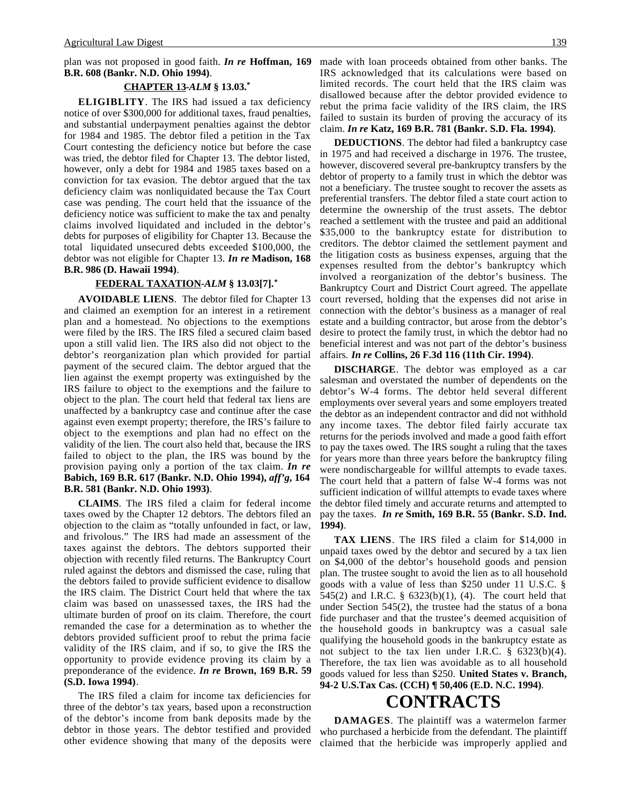### **CHAPTER 13 -***ALM* **§ 13.03.\***

**ELIGIBLITY**. The IRS had issued a tax deficiency notice of over \$300,000 for additional taxes, fraud penalties, and substantial underpayment penalties against the debtor for 1984 and 1985. The debtor filed a petition in the Tax Court contesting the deficiency notice but before the case was tried, the debtor filed for Chapter 13. The debtor listed, however, only a debt for 1984 and 1985 taxes based on a conviction for tax evasion. The debtor argued that the tax deficiency claim was nonliquidated because the Tax Court case was pending. The court held that the issuance of the deficiency notice was sufficient to make the tax and penalty claims involved liquidated and included in the debtor's debts for purposes of eligibility for Chapter 13. Because the total liquidated unsecured debts exceeded \$100,000, the debtor was not eligible for Chapter 13. *In re* **Madison, 168 B.R. 986 (D. Hawaii 1994)**.

### **FEDERAL TAXATION -***ALM* **§ 13.03[7].\***

**AVOIDABLE LIENS**. The debtor filed for Chapter 13 and claimed an exemption for an interest in a retirement plan and a homestead. No objections to the exemptions were filed by the IRS. The IRS filed a secured claim based upon a still valid lien. The IRS also did not object to the debtor's reorganization plan which provided for partial payment of the secured claim. The debtor argued that the lien against the exempt property was extinguished by the IRS failure to object to the exemptions and the failure to object to the plan. The court held that federal tax liens are unaffected by a bankruptcy case and continue after the case against even exempt property; therefore, the IRS's failure to object to the exemptions and plan had no effect on the validity of the lien. The court also held that, because the IRS failed to object to the plan, the IRS was bound by the provision paying only a portion of the tax claim. *In re* **Babich, 169 B.R. 617 (Bankr. N.D. Ohio 1994),** *aff'g***, 164 B.R. 581 (Bankr. N.D. Ohio 1993)**.

**CLAIMS**. The IRS filed a claim for federal income taxes owed by the Chapter 12 debtors. The debtors filed an objection to the claim as "totally unfounded in fact, or law, and frivolous." The IRS had made an assessment of the taxes against the debtors. The debtors supported their objection with recently filed returns. The Bankruptcy Court ruled against the debtors and dismissed the case, ruling that the debtors failed to provide sufficient evidence to disallow the IRS claim. The District Court held that where the tax claim was based on unassessed taxes, the IRS had the ultimate burden of proof on its claim. Therefore, the court remanded the case for a determination as to whether the debtors provided sufficient proof to rebut the prima facie validity of the IRS claim, and if so, to give the IRS the opportunity to provide evidence proving its claim by a preponderance of the evidence. *In re* **Brown, 169 B.R. 59 (S.D. Iowa 1994)**.

The IRS filed a claim for income tax deficiencies for three of the debtor's tax years, based upon a reconstruction of the debtor's income from bank deposits made by the debtor in those years. The debtor testified and provided other evidence showing that many of the deposits were made with loan proceeds obtained from other banks. The IRS acknowledged that its calculations were based on limited records. The court held that the IRS claim was disallowed because after the debtor provided evidence to rebut the prima facie validity of the IRS claim, the IRS failed to sustain its burden of proving the accuracy of its claim. *In re* **Katz, 169 B.R. 781 (Bankr. S.D. Fla. 1994)**.

**DEDUCTIONS**. The debtor had filed a bankruptcy case in 1975 and had received a discharge in 1976. The trustee, however, discovered several pre-bankruptcy transfers by the debtor of property to a family trust in which the debtor was not a beneficiary. The trustee sought to recover the assets as preferential transfers. The debtor filed a state court action to determine the ownership of the trust assets. The debtor reached a settlement with the trustee and paid an additional \$35,000 to the bankruptcy estate for distribution to creditors. The debtor claimed the settlement payment and the litigation costs as business expenses, arguing that the expenses resulted from the debtor's bankruptcy which involved a reorganization of the debtor's business. The Bankruptcy Court and District Court agreed. The appellate court reversed, holding that the expenses did not arise in connection with the debtor's business as a manager of real estate and a building contractor, but arose from the debtor's desire to protect the family trust, in which the debtor had no beneficial interest and was not part of the debtor's business affairs. *In re* **Collins, 26 F.3d 116 (11th Cir. 1994)**.

**DISCHARGE**. The debtor was employed as a car salesman and overstated the number of dependents on the debtor's W-4 forms. The debtor held several different employments over several years and some employers treated the debtor as an independent contractor and did not withhold any income taxes. The debtor filed fairly accurate tax returns for the periods involved and made a good faith effort to pay the taxes owed. The IRS sought a ruling that the taxes for years more than three years before the bankruptcy filing were nondischargeable for willful attempts to evade taxes. The court held that a pattern of false W-4 forms was not sufficient indication of willful attempts to evade taxes where the debtor filed timely and accurate returns and attempted to pay the taxes. *In re* **Smith, 169 B.R. 55 (Bankr. S.D. Ind. 1994)**.

**TAX LIENS**. The IRS filed a claim for \$14,000 in unpaid taxes owed by the debtor and secured by a tax lien on \$4,000 of the debtor's household goods and pension plan. The trustee sought to avoid the lien as to all household goods with a value of less than \$250 under 11 U.S.C. § 545(2) and I.R.C. § 6323(b)(1), (4). The court held that under Section 545(2), the trustee had the status of a bona fide purchaser and that the trustee's deemed acquisition of the household goods in bankruptcy was a casual sale qualifying the household goods in the bankruptcy estate as not subject to the tax lien under I.R.C. § 6323(b)(4). Therefore, the tax lien was avoidable as to all household goods valued for less than \$250. **United States v. Branch, 94-2 U.S.Tax Cas. (CCH) ¶ 50,406 (E.D. N.C. 1994)**.

## **CONTRACTS**

**DAMAGES**. The plaintiff was a watermelon farmer who purchased a herbicide from the defendant. The plaintiff claimed that the herbicide was improperly applied and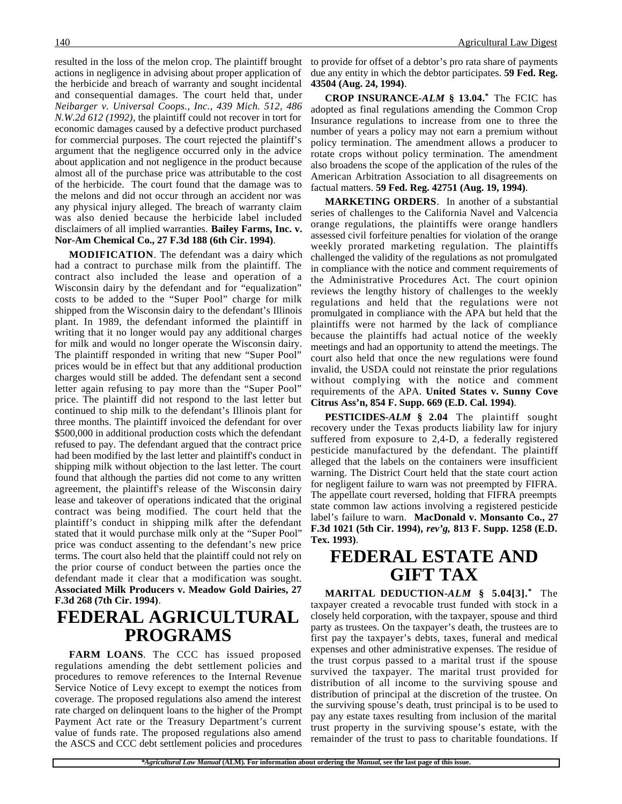resulted in the loss of the melon crop. The plaintiff brought actions in negligence in advising about proper application of the herbicide and breach of warranty and sought incidental and consequential damages. The court held that, under *Neibarger v. Universal Coops., Inc., 439 Mich. 512, 486 N.W.2d 612 (1992)*, the plaintiff could not recover in tort for economic damages caused by a defective product purchased for commercial purposes. The court rejected the plaintiff's argument that the negligence occurred only in the advice about application and not negligence in the product because almost all of the purchase price was attributable to the cost of the herbicide. The court found that the damage was to the melons and did not occur through an accident nor was any physical injury alleged. The breach of warranty claim was also denied because the herbicide label included disclaimers of all implied warranties. **Bailey Farms, Inc. v. Nor-Am Chemical Co., 27 F.3d 188 (6th Cir. 1994)**.

**MODIFICATION**. The defendant was a dairy which had a contract to purchase milk from the plaintiff. The contract also included the lease and operation of a Wisconsin dairy by the defendant and for "equalization" costs to be added to the "Super Pool" charge for milk shipped from the Wisconsin dairy to the defendant's Illinois plant. In 1989, the defendant informed the plaintiff in writing that it no longer would pay any additional charges for milk and would no longer operate the Wisconsin dairy. The plaintiff responded in writing that new "Super Pool" prices would be in effect but that any additional production charges would still be added. The defendant sent a second letter again refusing to pay more than the "Super Pool" price. The plaintiff did not respond to the last letter but continued to ship milk to the defendant's Illinois plant for three months. The plaintiff invoiced the defendant for over \$500,000 in additional production costs which the defendant refused to pay. The defendant argued that the contract price had been modified by the last letter and plaintiff's conduct in shipping milk without objection to the last letter. The court found that although the parties did not come to any written agreement, the plaintiff's release of the Wisconsin dairy lease and takeover of operations indicated that the original contract was being modified. The court held that the plaintiff's conduct in shipping milk after the defendant stated that it would purchase milk only at the "Super Pool" price was conduct assenting to the defendant's new price terms. The court also held that the plaintiff could not rely on the prior course of conduct between the parties once the defendant made it clear that a modification was sought. **Associated Milk Producers v. Meadow Gold Dairies, 27 F.3d 268 (7th Cir. 1994)**.

## **FEDERAL AGRICULTURAL PROGRAMS**

**FARM LOANS**. The CCC has issued proposed regulations amending the debt settlement policies and procedures to remove references to the Internal Revenue Service Notice of Levy except to exempt the notices from coverage. The proposed regulations also amend the interest rate charged on delinquent loans to the higher of the Prompt Payment Act rate or the Treasury Department's current value of funds rate. The proposed regulations also amend the ASCS and CCC debt settlement policies and procedures

to provide for offset of a debtor's pro rata share of payments due any entity in which the debtor participates. **59 Fed. Reg. 43504 (Aug. 24, 1994)**.

**CROP INSURANCE-***ALM* **§ 13.04.\*** The FCIC has adopted as final regulations amending the Common Crop Insurance regulations to increase from one to three the number of years a policy may not earn a premium without policy termination. The amendment allows a producer to rotate crops without policy termination. The amendment also broadens the scope of the application of the rules of the American Arbitration Association to all disagreements on factual matters. **59 Fed. Reg. 42751 (Aug. 19, 1994)**.

**MARKETING ORDERS**. In another of a substantial series of challenges to the California Navel and Valcencia orange regulations, the plaintiffs were orange handlers assessed civil forfeiture penalties for violation of the orange weekly prorated marketing regulation. The plaintiffs challenged the validity of the regulations as not promulgated in compliance with the notice and comment requirements of the Administrative Procedures Act. The court opinion reviews the lengthy history of challenges to the weekly regulations and held that the regulations were not promulgated in compliance with the APA but held that the plaintiffs were not harmed by the lack of compliance because the plaintiffs had actual notice of the weekly meetings and had an opportunity to attend the meetings. The court also held that once the new regulations were found invalid, the USDA could not reinstate the prior regulations without complying with the notice and comment requirements of the APA. **United States v. Sunny Cove Citrus Ass'n, 854 F. Supp. 669 (E.D. Cal. 1994)**.

**PESTICIDES-***ALM* **§ 2.04** The plaintiff sought recovery under the Texas products liability law for injury suffered from exposure to 2,4-D, a federally registered pesticide manufactured by the defendant. The plaintiff alleged that the labels on the containers were insufficient warning. The District Court held that the state court action for negligent failure to warn was not preempted by FIFRA. The appellate court reversed, holding that FIFRA preempts state common law actions involving a registered pesticide label's failure to warn. **MacDonald v. Monsanto Co., 27 F.3d 1021 (5th Cir. 1994),** *rev'g,* **813 F. Supp. 1258 (E.D. Tex. 1993)**.

## **FEDERAL ESTATE AND GIFT TAX**

**MARITAL DEDUCTION-***ALM* **§ 5.04[3].\*** The taxpayer created a revocable trust funded with stock in a closely held corporation, with the taxpayer, spouse and third party as trustees. On the taxpayer's death, the trustees are to first pay the taxpayer's debts, taxes, funeral and medical expenses and other administrative expenses. The residue of the trust corpus passed to a marital trust if the spouse survived the taxpayer. The marital trust provided for distribution of all income to the surviving spouse and distribution of principal at the discretion of the trustee. On the surviving spouse's death, trust principal is to be used to pay any estate taxes resulting from inclusion of the marital trust property in the surviving spouse's estate, with the remainder of the trust to pass to charitable foundations. If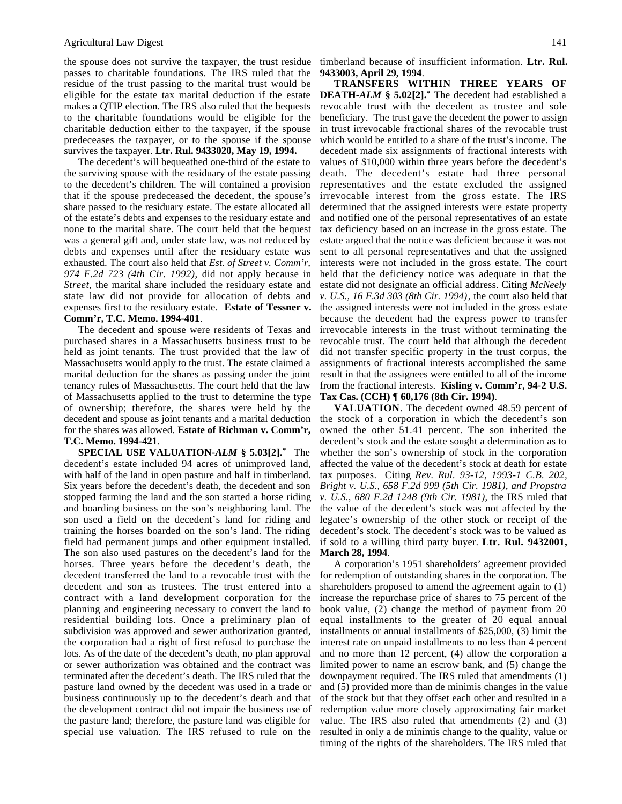#### Agricultural Law Digest 141

the spouse does not survive the taxpayer, the trust residue passes to charitable foundations. The IRS ruled that the residue of the trust passing to the marital trust would be eligible for the estate tax marital deduction if the estate makes a QTIP election. The IRS also ruled that the bequests to the charitable foundations would be eligible for the charitable deduction either to the taxpayer, if the spouse predeceases the taxpayer, or to the spouse if the spouse survives the taxpayer. **Ltr. Rul. 9433020, May 19, 1994.**

The decedent's will bequeathed one-third of the estate to the surviving spouse with the residuary of the estate passing to the decedent's children. The will contained a provision that if the spouse predeceased the decedent, the spouse's share passed to the residuary estate. The estate allocated all of the estate's debts and expenses to the residuary estate and none to the marital share. The court held that the bequest was a general gift and, under state law, was not reduced by debts and expenses until after the residuary estate was exhausted. The court also held that *Est. of Street v. Comm'r, 974 F.2d 723 (4th Cir. 1992)*, did not apply because in *Street*, the marital share included the residuary estate and state law did not provide for allocation of debts and expenses first to the residuary estate. **Estate of Tessner v. Comm'r, T.C. Memo. 1994-401**.

The decedent and spouse were residents of Texas and purchased shares in a Massachusetts business trust to be held as joint tenants. The trust provided that the law of Massachusetts would apply to the trust. The estate claimed a marital deduction for the shares as passing under the joint tenancy rules of Massachusetts. The court held that the law of Massachusetts applied to the trust to determine the type of ownership; therefore, the shares were held by the decedent and spouse as joint tenants and a marital deduction for the shares was allowed. **Estate of Richman v. Comm'r, T.C. Memo. 1994-421**.

**SPECIAL USE VALUATION-***ALM* **§ 5.03[2].\*** The decedent's estate included 94 acres of unimproved land, with half of the land in open pasture and half in timberland. Six years before the decedent's death, the decedent and son stopped farming the land and the son started a horse riding and boarding business on the son's neighboring land. The son used a field on the decedent's land for riding and training the horses boarded on the son's land. The riding field had permanent jumps and other equipment installed. The son also used pastures on the decedent's land for the horses. Three years before the decedent's death, the decedent transferred the land to a revocable trust with the decedent and son as trustees. The trust entered into a contract with a land development corporation for the planning and engineering necessary to convert the land to residential building lots. Once a preliminary plan of subdivision was approved and sewer authorization granted, the corporation had a right of first refusal to purchase the lots. As of the date of the decedent's death, no plan approval or sewer authorization was obtained and the contract was terminated after the decedent's death. The IRS ruled that the pasture land owned by the decedent was used in a trade or business continuously up to the decedent's death and that the development contract did not impair the business use of the pasture land; therefore, the pasture land was eligible for special use valuation. The IRS refused to rule on the

timberland because of insufficient information. **Ltr. Rul. 9433003, April 29, 1994**.

**TRANSFERS WITHIN THREE YEARS OF DEATH-***ALM* **§ 5.02[2].\*** The decedent had established a revocable trust with the decedent as trustee and sole beneficiary. The trust gave the decedent the power to assign in trust irrevocable fractional shares of the revocable trust which would be entitled to a share of the trust's income. The decedent made six assignments of fractional interests with values of \$10,000 within three years before the decedent's death. The decedent's estate had three personal representatives and the estate excluded the assigned irrevocable interest from the gross estate. The IRS determined that the assigned interests were estate property and notified one of the personal representatives of an estate tax deficiency based on an increase in the gross estate. The estate argued that the notice was deficient because it was not sent to all personal representatives and that the assigned interests were not included in the gross estate. The court held that the deficiency notice was adequate in that the estate did not designate an official address. Citing *McNeely v. U.S., 16 F.3d 303 (8th Cir. 1994)*, the court also held that the assigned interests were not included in the gross estate because the decedent had the express power to transfer irrevocable interests in the trust without terminating the revocable trust. The court held that although the decedent did not transfer specific property in the trust corpus, the assignments of fractional interests accomplished the same result in that the assignees were entitled to all of the income from the fractional interests. **Kisling v. Comm'r, 94-2 U.S. Tax Cas. (CCH) ¶ 60,176 (8th Cir. 1994)**.

**VALUATION**. The decedent owned 48.59 percent of the stock of a corporation in which the decedent's son owned the other 51.41 percent. The son inherited the decedent's stock and the estate sought a determination as to whether the son's ownership of stock in the corporation affected the value of the decedent's stock at death for estate tax purposes. Citing *Rev. Rul. 93-12, 1993-1 C.B. 202, Bright v. U.S., 658 F.2d 999 (5th Cir. 1981), and Propstra v. U.S., 680 F.2d 1248 (9th Cir. 1981)*, the IRS ruled that the value of the decedent's stock was not affected by the legatee's ownership of the other stock or receipt of the decedent's stock. The decedent's stock was to be valued as if sold to a willing third party buyer. **Ltr. Rul. 9432001, March 28, 1994**.

A corporation's 1951 shareholders' agreement provided for redemption of outstanding shares in the corporation. The shareholders proposed to amend the agreement again to (1) increase the repurchase price of shares to 75 percent of the book value, (2) change the method of payment from 20 equal installments to the greater of 20 equal annual installments or annual installments of \$25,000, (3) limit the interest rate on unpaid installments to no less than 4 percent and no more than 12 percent, (4) allow the corporation a limited power to name an escrow bank, and (5) change the downpayment required. The IRS ruled that amendments (1) and (5) provided more than de minimis changes in the value of the stock but that they offset each other and resulted in a redemption value more closely approximating fair market value. The IRS also ruled that amendments (2) and (3) resulted in only a de minimis change to the quality, value or timing of the rights of the shareholders. The IRS ruled that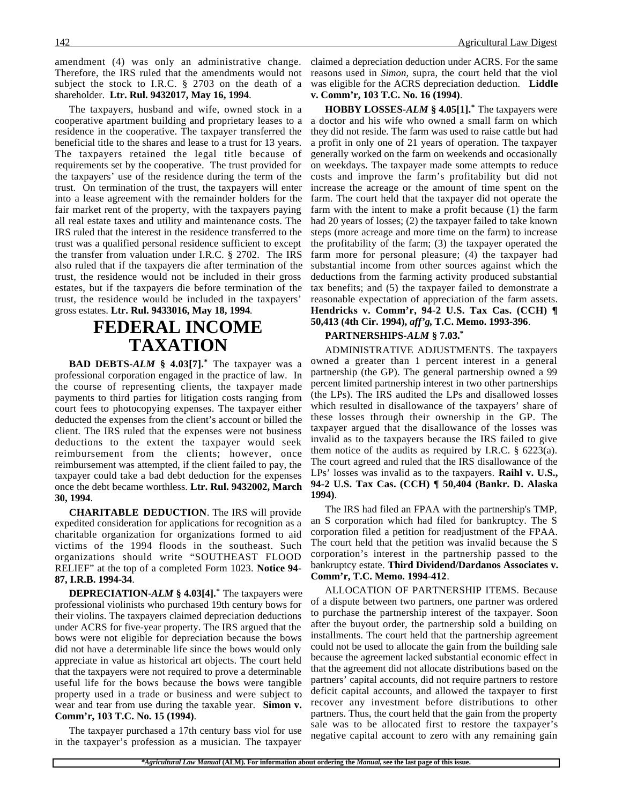amendment (4) was only an administrative change. Therefore, the IRS ruled that the amendments would not subject the stock to I.R.C. § 2703 on the death of a shareholder. **Ltr. Rul. 9432017, May 16, 1994**.

The taxpayers, husband and wife, owned stock in a cooperative apartment building and proprietary leases to a residence in the cooperative. The taxpayer transferred the beneficial title to the shares and lease to a trust for 13 years. The taxpayers retained the legal title because of requirements set by the cooperative. The trust provided for the taxpayers' use of the residence during the term of the trust. On termination of the trust, the taxpayers will enter into a lease agreement with the remainder holders for the fair market rent of the property, with the taxpayers paying all real estate taxes and utility and maintenance costs. The IRS ruled that the interest in the residence transferred to the trust was a qualified personal residence sufficient to except the transfer from valuation under I.R.C. § 2702. The IRS also ruled that if the taxpayers die after termination of the trust, the residence would not be included in their gross estates, but if the taxpayers die before termination of the trust, the residence would be included in the taxpayers' gross estates. **Ltr. Rul. 9433016, May 18, 1994**.

# **FEDERAL INCOME TAXATION**

**BAD DEBTS-***ALM* **§ 4.03[7].\*** The taxpayer was a professional corporation engaged in the practice of law. In the course of representing clients, the taxpayer made payments to third parties for litigation costs ranging from court fees to photocopying expenses. The taxpayer either deducted the expenses from the client's account or billed the client. The IRS ruled that the expenses were not business deductions to the extent the taxpayer would seek reimbursement from the clients; however, once reimbursement was attempted, if the client failed to pay, the taxpayer could take a bad debt deduction for the expenses once the debt became worthless. **Ltr. Rul. 9432002, March 30, 1994**.

**CHARITABLE DEDUCTION**. The IRS will provide expedited consideration for applications for recognition as a charitable organization for organizations formed to aid victims of the 1994 floods in the southeast. Such organizations should write "SOUTHEAST FLOOD RELIEF" at the top of a completed Form 1023. **Notice 94- 87, I.R.B. 1994-34**.

**DEPRECIATION-***ALM* **§ 4.03[4].\*** The taxpayers were professional violinists who purchased 19th century bows for their violins. The taxpayers claimed depreciation deductions under ACRS for five-year property. The IRS argued that the bows were not eligible for depreciation because the bows did not have a determinable life since the bows would only appreciate in value as historical art objects. The court held that the taxpayers were not required to prove a determinable useful life for the bows because the bows were tangible property used in a trade or business and were subject to wear and tear from use during the taxable year. **Simon v. Comm'r, 103 T.C. No. 15 (1994)**.

The taxpayer purchased a 17th century bass viol for use in the taxpayer's profession as a musician. The taxpayer claimed a depreciation deduction under ACRS. For the same reasons used in *Simon*, supra, the court held that the viol was eligible for the ACRS depreciation deduction. **Liddle v. Comm'r, 103 T.C. No. 16 (1994)**.

**HOBBY LOSSES-***ALM* **§ 4.05[1].\*** The taxpayers were a doctor and his wife who owned a small farm on which they did not reside. The farm was used to raise cattle but had a profit in only one of 21 years of operation. The taxpayer generally worked on the farm on weekends and occasionally on weekdays. The taxpayer made some attempts to reduce costs and improve the farm's profitability but did not increase the acreage or the amount of time spent on the farm. The court held that the taxpayer did not operate the farm with the intent to make a profit because (1) the farm had 20 years of losses; (2) the taxpayer failed to take known steps (more acreage and more time on the farm) to increase the profitability of the farm; (3) the taxpayer operated the farm more for personal pleasure; (4) the taxpayer had substantial income from other sources against which the deductions from the farming activity produced substantial tax benefits; and (5) the taxpayer failed to demonstrate a reasonable expectation of appreciation of the farm assets. **Hendricks v. Comm'r, 94-2 U.S. Tax Cas. (CCH) ¶ 50,413 (4th Cir. 1994),** *aff'g***, T.C. Memo. 1993-396**.

### **PARTNERSHIPS-***ALM* **§ 7.03.\***

ADMINISTRATIVE ADJUSTMENTS. The taxpayers owned a greater than 1 percent interest in a general partnership (the GP). The general partnership owned a 99 percent limited partnership interest in two other partnerships (the LPs). The IRS audited the LPs and disallowed losses which resulted in disallowance of the taxpayers' share of these losses through their ownership in the GP. The taxpayer argued that the disallowance of the losses was invalid as to the taxpayers because the IRS failed to give them notice of the audits as required by I.R.C.  $\S$  6223(a). The court agreed and ruled that the IRS disallowance of the LPs' losses was invalid as to the taxpayers. **Raihl v. U.S., 94-2 U.S. Tax Cas. (CCH) ¶ 50,404 (Bankr. D. Alaska 1994)**.

The IRS had filed an FPAA with the partnership's TMP, an S corporation which had filed for bankruptcy. The S corporation filed a petition for readjustment of the FPAA. The court held that the petition was invalid because the S corporation's interest in the partnership passed to the bankruptcy estate. **Third Dividend/Dardanos Associates v. Comm'r, T.C. Memo. 1994-412**.

ALLOCATION OF PARTNERSHIP ITEMS. Because of a dispute between two partners, one partner was ordered to purchase the partnership interest of the taxpayer. Soon after the buyout order, the partnership sold a building on installments. The court held that the partnership agreement could not be used to allocate the gain from the building sale because the agreement lacked substantial economic effect in that the agreement did not allocate distributions based on the partners' capital accounts, did not require partners to restore deficit capital accounts, and allowed the taxpayer to first recover any investment before distributions to other partners. Thus, the court held that the gain from the property sale was to be allocated first to restore the taxpayer's negative capital account to zero with any remaining gain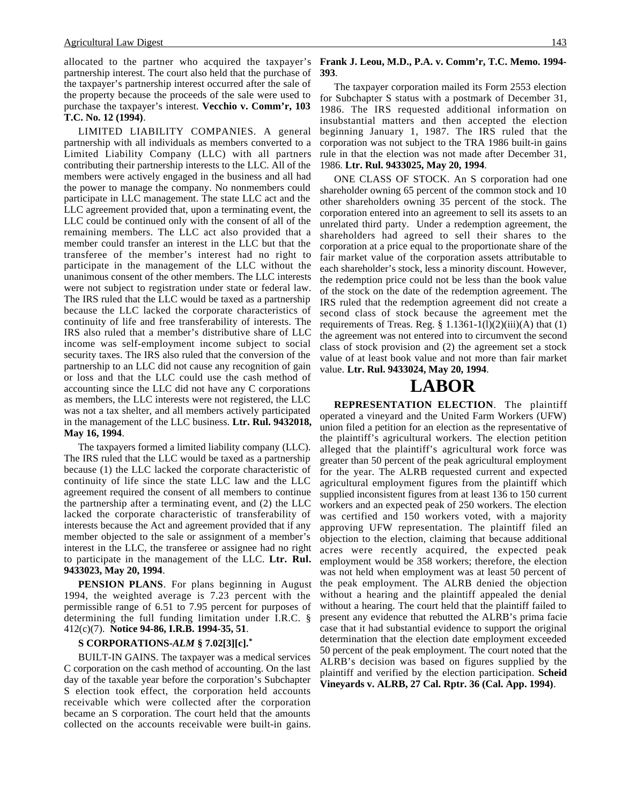allocated to the partner who acquired the taxpayer's partnership interest. The court also held that the purchase of the taxpayer's partnership interest occurred after the sale of the property because the proceeds of the sale were used to purchase the taxpayer's interest. **Vecchio v. Comm'r, 103 T.C. No. 12 (1994)**.

LIMITED LIABILITY COMPANIES. A general partnership with all individuals as members converted to a Limited Liability Company (LLC) with all partners contributing their partnership interests to the LLC. All of the members were actively engaged in the business and all had the power to manage the company. No nonmembers could participate in LLC management. The state LLC act and the LLC agreement provided that, upon a terminating event, the LLC could be continued only with the consent of all of the remaining members. The LLC act also provided that a member could transfer an interest in the LLC but that the transferee of the member's interest had no right to participate in the management of the LLC without the unanimous consent of the other members. The LLC interests were not subject to registration under state or federal law. The IRS ruled that the LLC would be taxed as a partnership because the LLC lacked the corporate characteristics of continuity of life and free transferability of interests. The IRS also ruled that a member's distributive share of LLC income was self-employment income subject to social security taxes. The IRS also ruled that the conversion of the partnership to an LLC did not cause any recognition of gain or loss and that the LLC could use the cash method of accounting since the LLC did not have any C corporations as members, the LLC interests were not registered, the LLC was not a tax shelter, and all members actively participated in the management of the LLC business. **Ltr. Rul. 9432018, May 16, 1994**.

The taxpayers formed a limited liability company (LLC). The IRS ruled that the LLC would be taxed as a partnership because (1) the LLC lacked the corporate characteristic of continuity of life since the state LLC law and the LLC agreement required the consent of all members to continue the partnership after a terminating event, and (2) the LLC lacked the corporate characteristic of transferability of interests because the Act and agreement provided that if any member objected to the sale or assignment of a member's interest in the LLC, the transferee or assignee had no right to participate in the management of the LLC. **Ltr. Rul. 9433023, May 20, 1994**.

**PENSION PLANS**. For plans beginning in August 1994, the weighted average is 7.23 percent with the permissible range of 6.51 to 7.95 percent for purposes of determining the full funding limitation under I.R.C. § 412(c)(7). **Notice 94-86, I.R.B. 1994-35, 51**.

### **S CORPORATIONS-***ALM* **§ 7.02[3][c].\***

BUILT-IN GAINS. The taxpayer was a medical services C corporation on the cash method of accounting. On the last day of the taxable year before the corporation's Subchapter S election took effect, the corporation held accounts receivable which were collected after the corporation became an S corporation. The court held that the amounts collected on the accounts receivable were built-in gains.

#### **Frank J. Leou, M.D., P.A. v. Comm'r, T.C. Memo. 1994- 393**.

The taxpayer corporation mailed its Form 2553 election for Subchapter S status with a postmark of December 31, 1986. The IRS requested additional information on insubstantial matters and then accepted the election beginning January 1, 1987. The IRS ruled that the corporation was not subject to the TRA 1986 built-in gains rule in that the election was not made after December 31, 1986. **Ltr. Rul. 9433025, May 20, 1994**.

ONE CLASS OF STOCK. An S corporation had one shareholder owning 65 percent of the common stock and 10 other shareholders owning 35 percent of the stock. The corporation entered into an agreement to sell its assets to an unrelated third party. Under a redemption agreement, the shareholders had agreed to sell their shares to the corporation at a price equal to the proportionate share of the fair market value of the corporation assets attributable to each shareholder's stock, less a minority discount. However, the redemption price could not be less than the book value of the stock on the date of the redemption agreement. The IRS ruled that the redemption agreement did not create a second class of stock because the agreement met the requirements of Treas. Reg.  $\S$  1.1361-1(l)(2)(iii)(A) that (1) the agreement was not entered into to circumvent the second class of stock provision and (2) the agreement set a stock value of at least book value and not more than fair market value. **Ltr. Rul. 9433024, May 20, 1994**.

## **LABOR**

**REPRESENTATION ELECTION**. The plaintiff operated a vineyard and the United Farm Workers (UFW) union filed a petition for an election as the representative of the plaintiff's agricultural workers. The election petition alleged that the plaintiff's agricultural work force was greater than 50 percent of the peak agricultural employment for the year. The ALRB requested current and expected agricultural employment figures from the plaintiff which supplied inconsistent figures from at least 136 to 150 current workers and an expected peak of 250 workers. The election was certified and 150 workers voted, with a majority approving UFW representation. The plaintiff filed an objection to the election, claiming that because additional acres were recently acquired, the expected peak employment would be 358 workers; therefore, the election was not held when employment was at least 50 percent of the peak employment. The ALRB denied the objection without a hearing and the plaintiff appealed the denial without a hearing. The court held that the plaintiff failed to present any evidence that rebutted the ALRB's prima facie case that it had substantial evidence to support the original determination that the election date employment exceeded 50 percent of the peak employment. The court noted that the ALRB's decision was based on figures supplied by the plaintiff and verified by the election participation. **Scheid Vineyards v. ALRB, 27 Cal. Rptr. 36 (Cal. App. 1994)**.